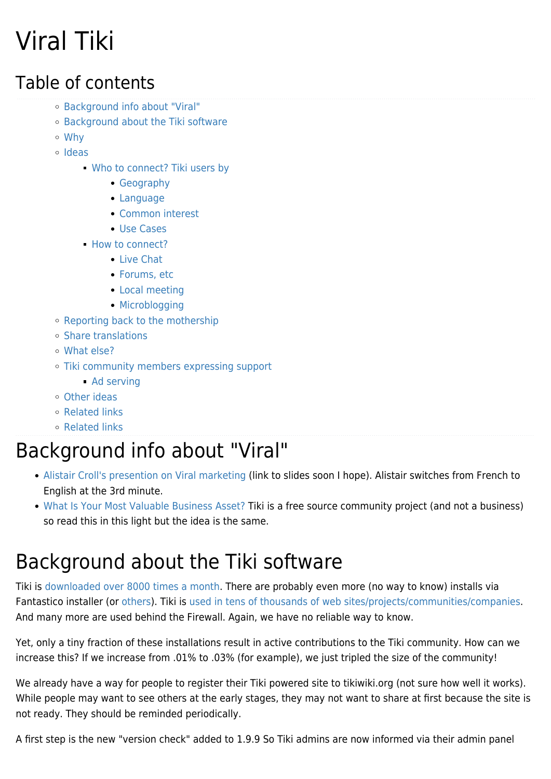# Viral Tiki

### Table of contents

- [Background info about "Viral"](#page--1-0)
- [Background about the Tiki software](#page--1-0)
- [Why](#page--1-0)
- [Ideas](#page--1-0)
	- [Who to connect? Tiki users by](#page--1-0)
		- [Geography](#page--1-0)
		- [Language](#page--1-0)
		- [Common interest](#page--1-0)
		- [Use Cases](#page--1-0)
	- [How to connect?](#page--1-0)
		- [Live Chat](#page--1-0)
		- [Forums, etc](#page--1-0)
		- [Local meeting](#page--1-0)
		- [Microblogging](#page--1-0)
- [Reporting back to the mothership](#page--1-0)
- [Share translations](#page--1-0)
- [What else?](#page--1-0)
- [Tiki community members expressing support](#page--1-0)
	- [Ad serving](#page--1-0)
- [Other ideas](#page--1-0)
- [Related links](#page--1-0)
- [Related links](#page--1-0)

### Background info about "Viral"

- [Alistair Croll's presention on Viral marketing](http://stephdau.blip.tv/file/707800/) (link to slides soon I hope). Alistair switches from French to English at the 3rd minute.
- [What Is Your Most Valuable Business Asset?](http://ezinearticles.com/?What-Is-Your-Most-Valuable-Business-Asset?&id=946218) Tiki is a free source community project (and not a business) so read this in this light but the idea is the same.

### Background about the Tiki software

Tiki is [downloaded over 8000 times a month](http://sourceforge.net/project/stats/detail.php?group_id=64258&ugn=tikiwiki&type=prdownload&mode=12months&package_id=0). There are probably even more (no way to know) installs via Fantastico installer (or [others](https://tiki.org/1-click-installers)). Tiki is [used in tens of thousands of web sites/projects/communities/companies](http://www.google.com/search?hl=en&q=inurl:tiki-index.php%3Fpage%3D). And many more are used behind the Firewall. Again, we have no reliable way to know.

Yet, only a tiny fraction of these installations result in active contributions to the Tiki community. How can we increase this? If we increase from .01% to .03% (for example), we just tripled the size of the community!

We already have a way for people to register their Tiki powered site to tikiwiki.org (not sure how well it works). While people may want to see others at the early stages, they may not want to share at first because the site is not ready. They should be reminded periodically.

A first step is the new "version check" added to 1.9.9 So Tiki admins are now informed via their admin panel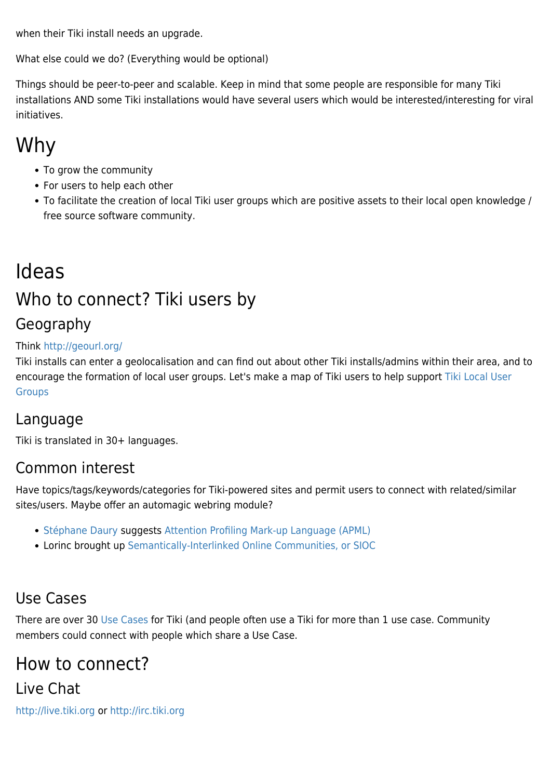when their Tiki install needs an upgrade.

What else could we do? (Everything would be optional)

Things should be peer-to-peer and scalable. Keep in mind that some people are responsible for many Tiki installations AND some Tiki installations would have several users which would be interested/interesting for viral initiatives.

### Why

- To grow the community
- For users to help each other
- To facilitate the creation of local Tiki user groups which are positive assets to their local open knowledge / free source software community.

### Ideas Who to connect? Tiki users by

### Geography

#### Think<http://geourl.org/>

Tiki installs can enter a geolocalisation and can find out about other Tiki installs/admins within their area, and to encourage the formation of local user groups. Let's make a map of Tiki users to help support [Tiki Local User](https://tiki.org/Tiki-Local-User-Groups) **[Groups](https://tiki.org/Tiki-Local-User-Groups)** 

#### Language

Tiki is translated in 30+ languages.

#### Common interest

Have topics/tags/keywords/categories for Tiki-powered sites and permit users to connect with related/similar sites/users. Maybe offer an automagic webring module?

- [Stéphane Daury](http://tekartist.org/) suggests [Attention Profiling Mark-up Language \(APML\)](http://www.apml.org/)
- Lorinc brought up [Semantically-Interlinked Online Communities, or SIOC](http://sioc-project.org/)

#### Use Cases

There are over 30 [Use Cases](http://info.tiki.org/Use%20Cases) for Tiki (and people often use a Tiki for more than 1 use case. Community members could connect with people which share a Use Case.

### How to connect?

#### Live Chat

<http://live.tiki.org>or<http://irc.tiki.org>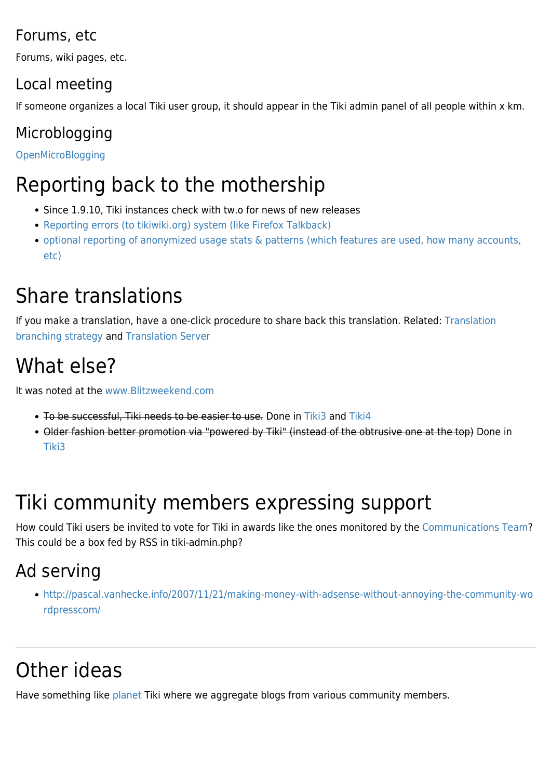#### Forums, etc

Forums, wiki pages, etc.

### Local meeting

If someone organizes a local Tiki user group, it should appear in the Tiki admin panel of all people within x km.

### Microblogging

[OpenMicroBlogging](http://dev.tiki.org/OpenMicroBlogging)

### Reporting back to the mothership

- Since 1.9.10. Tiki instances check with tw.o for news of new releases
- [Reporting errors \(to tikiwiki.org\) system \(like Firefox Talkback\)](http://dev.tiki.org/wish1416)
- [optional reporting of anonymized usage stats & patterns \(which features are used, how many accounts,](http://dev.tiki.org/wish2114) [etc\)](http://dev.tiki.org/wish2114)

### Share translations

If you make a translation, have a one-click procedure to share back this translation. Related: [Translation](https://tiki.org/Translation-branching-strategy) [branching strategy](https://tiki.org/Translation-branching-strategy) and [Translation Server](https://tiki.org/Translation-Server)

### What else?

It was noted at the [www.Blitzweekend.com](http://www.Blitzweekend.com)

- To be successful, Tiki needs to be easier to use. Done in [Tiki3](http://doc.tiki.org/Tiki3) and [Tiki4](http://doc.tiki.org/Tiki4)
- Older fashion better promotion via "powered by Tiki" (instead of the obtrusive one at the top) Done in [Tiki3](http://doc.tiki.org/Tiki3)

# Tiki community members expressing support

How could Tiki users be invited to vote for Tiki in awards like the ones monitored by the [Communications Team?](https://tiki.org/Communications-Team) This could be a box fed by RSS in tiki-admin.php?

### Ad serving

[http://pascal.vanhecke.info/2007/11/21/making-money-with-adsense-without-annoying-the-community-wo](http://pascal.vanhecke.info/2007/11/21/making-money-with-adsense-without-annoying-the-community-wordpresscom/) [rdpresscom/](http://pascal.vanhecke.info/2007/11/21/making-money-with-adsense-without-annoying-the-community-wordpresscom/)

# Other ideas

Have something like [planet](https://tiki.org/Planet) Tiki where we aggregate blogs from various community members.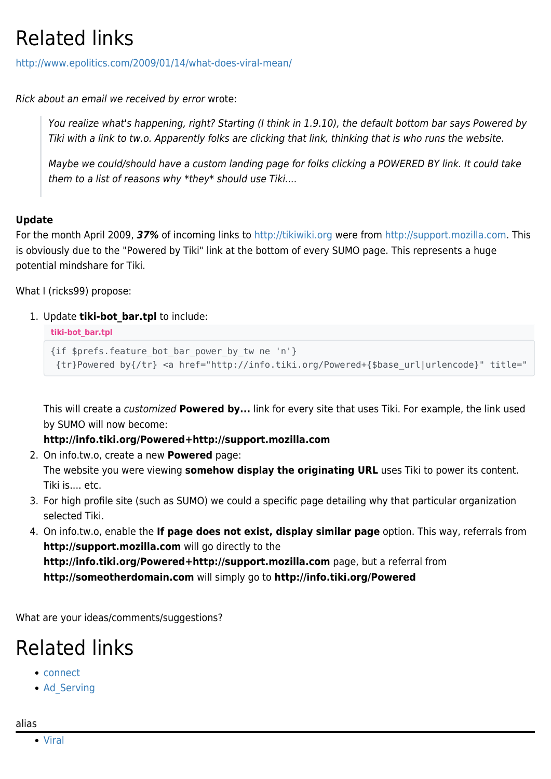### Related links

<http://www.epolitics.com/2009/01/14/what-does-viral-mean/>

Rick about an email we received by error wrote:

You realize what's happening, right? Starting (I think in 1.9.10), the default bottom bar says Powered by Tiki with a link to tw.o. Apparently folks are clicking that link, thinking that is who runs the website.

Maybe we could/should have a custom landing page for folks clicking a POWERED BY link. It could take them to a list of reasons why \*they\* should use Tiki....

#### **Update**

For the month April 2009, *37%* of incoming links to <http://tikiwiki.org> were from<http://support.mozilla.com>. This is obviously due to the "Powered by Tiki" link at the bottom of every SUMO page. This represents a huge potential mindshare for Tiki.

What I (ricks99) propose:

1. Update **tiki-bot\_bar.tpl** to include:

**tiki-bot\_bar.tpl**

```
{if $prefs.feature_bot_bar_power_by_tw ne 'n'}
{tr}Powered by{/tr} <a href="http://info.tiki.org/Powered+{$base_url|urlencode}" title="
```
This will create a customized **Powered by...** link for every site that uses Tiki. For example, the link used by SUMO will now become:

**http://info.tiki.org/Powered+http://support.mozilla.com**

2. On info.tw.o, create a new **Powered** page:

The website you were viewing **somehow display the originating URL** uses Tiki to power its content. Tiki is.... etc.

- 3. For high profile site (such as SUMO) we could a specific page detailing why that particular organization selected Tiki.
- 4. On info.tw.o, enable the **If page does not exist, display similar page** option. This way, referrals from **http://support.mozilla.com** will go directly to the **http://info.tiki.org/Powered+http://support.mozilla.com** page, but a referral from

**http://someotherdomain.com** will simply go to **http://info.tiki.org/Powered**

What are your ideas/comments/suggestions?

### Related links

- [connect](http://dev.tiki.org/connect)
- Ad Serving

alias

[Viral](https://tiki.org/Viral)